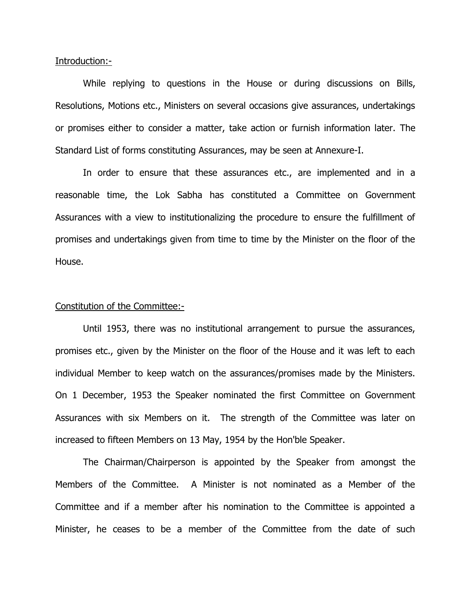Introduction:-

While replying to questions in the House or during discussions on Bills, Resolutions, Motions etc., Ministers on several occasions give assurances, undertakings or promises either to consider a matter, take action or furnish information later. The Standard List of forms constituting Assurances, may be seen at Annexure-I.

In order to ensure that these assurances etc., are implemented and in a reasonable time, the Lok Sabha has constituted a Committee on Government Assurances with a view to institutionalizing the procedure to ensure the fulfillment of promises and undertakings given from time to time by the Minister on the floor of the House.

#### Constitution of the Committee:-

Until 1953, there was no institutional arrangement to pursue the assurances, promises etc., given by the Minister on the floor of the House and it was left to each individual Member to keep watch on the assurances/promises made by the Ministers. On 1 December, 1953 the Speaker nominated the first Committee on Government Assurances with six Members on it. The strength of the Committee was later on increased to fifteen Members on 13 May, 1954 by the Hon'ble Speaker.

The Chairman/Chairperson is appointed by the Speaker from amongst the Members of the Committee. A Minister is not nominated as a Member of the Committee and if a member after his nomination to the Committee is appointed a Minister, he ceases to be a member of the Committee from the date of such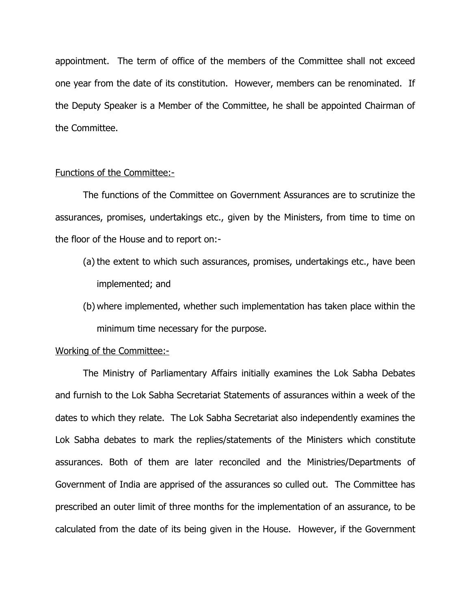appointment. The term of office of the members of the Committee shall not exceed one year from the date of its constitution. However, members can be renominated. If the Deputy Speaker is a Member of the Committee, he shall be appointed Chairman of the Committee.

### Functions of the Committee:-

The functions of the Committee on Government Assurances are to scrutinize the assurances, promises, undertakings etc., given by the Ministers, from time to time on the floor of the House and to report on:-

- (a) the extent to which such assurances, promises, undertakings etc., have been implemented; and
- (b) where implemented, whether such implementation has taken place within the minimum time necessary for the purpose.

### Working of the Committee:-

The Ministry of Parliamentary Affairs initially examines the Lok Sabha Debates and furnish to the Lok Sabha Secretariat Statements of assurances within a week of the dates to which they relate. The Lok Sabha Secretariat also independently examines the Lok Sabha debates to mark the replies/statements of the Ministers which constitute assurances. Both of them are later reconciled and the Ministries/Departments of Government of India are apprised of the assurances so culled out. The Committee has prescribed an outer limit of three months for the implementation of an assurance, to be calculated from the date of its being given in the House. However, if the Government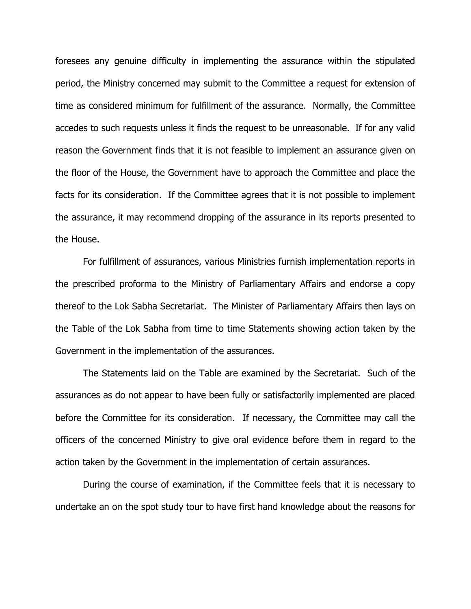foresees any genuine difficulty in implementing the assurance within the stipulated period, the Ministry concerned may submit to the Committee a request for extension of time as considered minimum for fulfillment of the assurance. Normally, the Committee accedes to such requests unless it finds the request to be unreasonable. If for any valid reason the Government finds that it is not feasible to implement an assurance given on the floor of the House, the Government have to approach the Committee and place the facts for its consideration. If the Committee agrees that it is not possible to implement the assurance, it may recommend dropping of the assurance in its reports presented to the House.

For fulfillment of assurances, various Ministries furnish implementation reports in the prescribed proforma to the Ministry of Parliamentary Affairs and endorse a copy thereof to the Lok Sabha Secretariat. The Minister of Parliamentary Affairs then lays on the Table of the Lok Sabha from time to time Statements showing action taken by the Government in the implementation of the assurances.

The Statements laid on the Table are examined by the Secretariat. Such of the assurances as do not appear to have been fully or satisfactorily implemented are placed before the Committee for its consideration. If necessary, the Committee may call the officers of the concerned Ministry to give oral evidence before them in regard to the action taken by the Government in the implementation of certain assurances.

During the course of examination, if the Committee feels that it is necessary to undertake an on the spot study tour to have first hand knowledge about the reasons for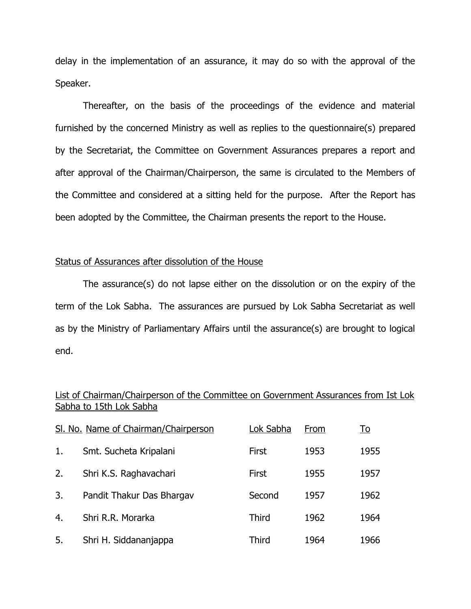delay in the implementation of an assurance, it may do so with the approval of the Speaker.

Thereafter, on the basis of the proceedings of the evidence and material furnished by the concerned Ministry as well as replies to the questionnaire(s) prepared by the Secretariat, the Committee on Government Assurances prepares a report and after approval of the Chairman/Chairperson, the same is circulated to the Members of the Committee and considered at a sitting held for the purpose. After the Report has been adopted by the Committee, the Chairman presents the report to the House.

### Status of Assurances after dissolution of the House

The assurance(s) do not lapse either on the dissolution or on the expiry of the term of the Lok Sabha. The assurances are pursued by Lok Sabha Secretariat as well as by the Ministry of Parliamentary Affairs until the assurance(s) are brought to logical end.

# List of Chairman/Chairperson of the Committee on Government Assurances from Ist Lok Sabha to 15th Lok Sabha

| Sl. No. Name of Chairman/Chairperson |                           | Lok Sabha    | From | <u>To</u> |
|--------------------------------------|---------------------------|--------------|------|-----------|
| 1.                                   | Smt. Sucheta Kripalani    | First        | 1953 | 1955      |
| 2.                                   | Shri K.S. Raghavachari    | First        | 1955 | 1957      |
| 3.                                   | Pandit Thakur Das Bhargav | Second       | 1957 | 1962      |
| 4.                                   | Shri R.R. Morarka         | <b>Third</b> | 1962 | 1964      |
| 5.                                   | Shri H. Siddananjappa     | <b>Third</b> | 1964 | 1966      |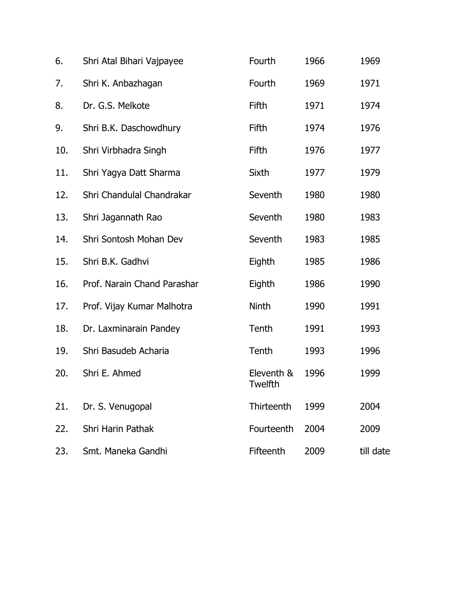| 6.  | Shri Atal Bihari Vajpayee   | Fourth                | 1966 | 1969      |
|-----|-----------------------------|-----------------------|------|-----------|
| 7.  | Shri K. Anbazhagan          | Fourth                | 1969 | 1971      |
| 8.  | Dr. G.S. Melkote            | Fifth                 | 1971 | 1974      |
| 9.  | Shri B.K. Daschowdhury      | Fifth                 | 1974 | 1976      |
| 10. | Shri Virbhadra Singh        | Fifth                 | 1976 | 1977      |
| 11. | Shri Yagya Datt Sharma      | Sixth                 | 1977 | 1979      |
| 12. | Shri Chandulal Chandrakar   | Seventh               | 1980 | 1980      |
| 13. | Shri Jagannath Rao          | Seventh               | 1980 | 1983      |
| 14. | Shri Sontosh Mohan Dev      | Seventh               | 1983 | 1985      |
| 15. | Shri B.K. Gadhvi            | Eighth                | 1985 | 1986      |
| 16. | Prof. Narain Chand Parashar | Eighth                | 1986 | 1990      |
| 17. | Prof. Vijay Kumar Malhotra  | Ninth                 | 1990 | 1991      |
| 18. | Dr. Laxminarain Pandey      | Tenth                 | 1991 | 1993      |
| 19. | Shri Basudeb Acharia        | Tenth                 | 1993 | 1996      |
| 20. | Shri E. Ahmed               | Eleventh &<br>Twelfth | 1996 | 1999      |
| 21. | Dr. S. Venugopal            | Thirteenth            | 1999 | 2004      |
| 22. | Shri Harin Pathak           | Fourteenth            | 2004 | 2009      |
| 23. | Smt. Maneka Gandhi          | Fifteenth             | 2009 | till date |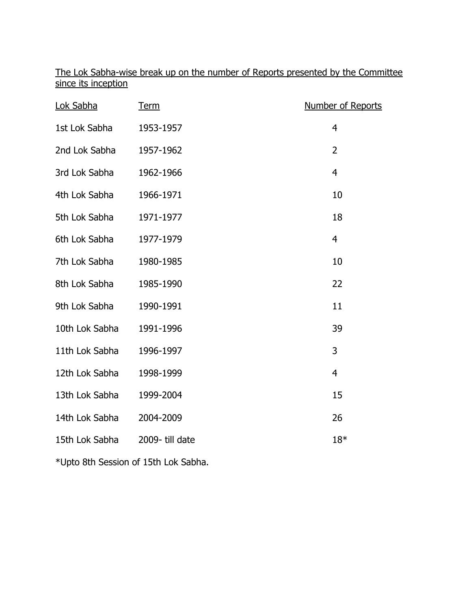# The Lok Sabha-wise break up on the number of Reports presented by the Committee since its inception

| Lok Sabha      | <b>Term</b>    | Number of Reports |
|----------------|----------------|-------------------|
| 1st Lok Sabha  | 1953-1957      | $\overline{4}$    |
| 2nd Lok Sabha  | 1957-1962      | $\overline{2}$    |
| 3rd Lok Sabha  | 1962-1966      | $\overline{4}$    |
| 4th Lok Sabha  | 1966-1971      | 10                |
| 5th Lok Sabha  | 1971-1977      | 18                |
| 6th Lok Sabha  | 1977-1979      | $\overline{4}$    |
| 7th Lok Sabha  | 1980-1985      | 10                |
| 8th Lok Sabha  | 1985-1990      | 22                |
| 9th Lok Sabha  | 1990-1991      | 11                |
| 10th Lok Sabha | 1991-1996      | 39                |
| 11th Lok Sabha | 1996-1997      | 3                 |
| 12th Lok Sabha | 1998-1999      | $\overline{4}$    |
| 13th Lok Sabha | 1999-2004      | 15                |
| 14th Lok Sabha | 2004-2009      | 26                |
| 15th Lok Sabha | 2009-till date | $18*$             |
|                |                |                   |

\*Upto 8th Session of 15th Lok Sabha.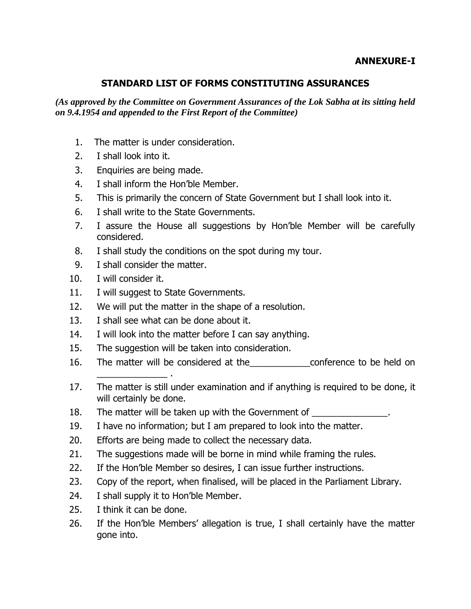## **ANNEXURE-I**

## **STANDARD LIST OF FORMS CONSTITUTING ASSURANCES**

*(As approved by the Committee on Government Assurances of the Lok Sabha at its sitting held on 9.4.1954 and appended to the First Report of the Committee)*

- 1. The matter is under consideration.
- 2. I shall look into it.
- 3. Enquiries are being made.
- 4. I shall inform the Hon'ble Member.
- 5. This is primarily the concern of State Government but I shall look into it.
- 6. I shall write to the State Governments.
- 7. I assure the House all suggestions by Hon'ble Member will be carefully considered.
- 8. I shall study the conditions on the spot during my tour.
- 9. I shall consider the matter.

\_\_\_\_\_\_\_\_\_\_\_\_\_\_ .

- 10. I will consider it.
- 11. I will suggest to State Governments.
- 12. We will put the matter in the shape of a resolution.
- 13. I shall see what can be done about it.
- 14. I will look into the matter before I can say anything.
- 15. The suggestion will be taken into consideration.
- 16. The matter will be considered at the The conference to be held on
- 17. The matter is still under examination and if anything is required to be done, it will certainly be done.
- 18. The matter will be taken up with the Government of \_\_\_\_\_\_\_\_\_\_\_\_\_\_\_\_\_\_\_\_\_\_\_\_\_
- 19. I have no information; but I am prepared to look into the matter.
- 20. Efforts are being made to collect the necessary data.
- 21. The suggestions made will be borne in mind while framing the rules.
- 22. If the Hon'ble Member so desires, I can issue further instructions.
- 23. Copy of the report, when finalised, will be placed in the Parliament Library.
- 24. I shall supply it to Hon'ble Member.
- 25. I think it can be done.
- 26. If the Hon'ble Members' allegation is true, I shall certainly have the matter gone into.